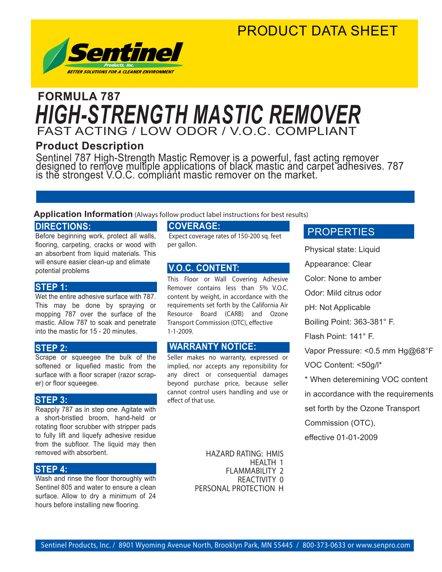### PRODUCT DATA SHEET



## FAST ACTING / LOW ODOR / V.O.C. COMPLIANT **FORMULA 787** *HIGH-STRENGTH MASTIC REMOVER*

#### **Product Description**

Sentinel 787 High-Strength Mastic Remover is a powerful, fast acting remover designed to remove multiple applications of black mastic and carpet adhesives. 787 is thĕ strongest V.O.C. compliant mastic remover on the market.

#### **Application Information** (Always follow product label instructions for best results)

#### **DIRECTIONS:**

Before beginning work, protect all walls, flooring, carpeting, cracks or wood with an absorbent from liquid materials. This will ensure easier clean-up and elimate potential problems

#### **STEP 1:**

Wet the entire adhesive surface with 787. This may be done by spraying or mopping 787 over the surface of the mastic. Allow 787 to soak and penetrate into the mastic for 15 - 20 minutes.

#### **STEP 2:**

Scrape or squeegee the bulk of the softened or liquefied mastic from the surface with a floor scraper (razor scraper) or floor squeegee.

#### **STEP 3:**

Reapply 787 as in step one. Agitate with a short-bristled broom, hand-held or rotating floor scrubber with stripper pads to fully lift and liquefy adhesive residue from the subfloor. The liquid may then removed with absorbent.

#### **STEP 4:**

Wash and rinse the floor thoroughly with Sentinel 805 and water to ensure a clean surface. Allow to dry a minimum of 24 hours before installing new flooring.

#### **COVERAGE:**

 Expect coverage rates of 150-200 sq. feet per gallon.

#### **V.O.C. CONTENT:**

This Floor or Wall Covering Adhesive Remover contains less than 5% V.O.C. content by weight, in accordance with the requirements set forth by the California Air Resource Board (CARB) and Ozone Transport Commission (OTC), effective 1-1-2009.

#### **WARRANTY NOTICE:**

Seller makes no warranty, expressed or implied, nor accepts any reponsibility for any direct or consequential damages beyond purchase price, because seller cannot control users handling and use or effect of that use.

> HAZARD RATING: HMIS HEALTH 1 FLAMMABILITY 2 REACTIVITY 0 PERSONAL PROTECTION H

#### **PROPERTIES**

Physical state: Liquid

Appearance: Clear

Color: None to amber

Odor: Mild citrus odor

pH: Not Applicable

Boiling Point: 363-381° F.

Flash Point: 141° F.

Vapor Pressure: <0.5 mm Hg@68°F

VOC Content: <50g/l\*

\* When deteremining VOC content

in accordance with the requirements

set forth by the Ozone Transport

Commission (OTC),

effective 01-01-2009